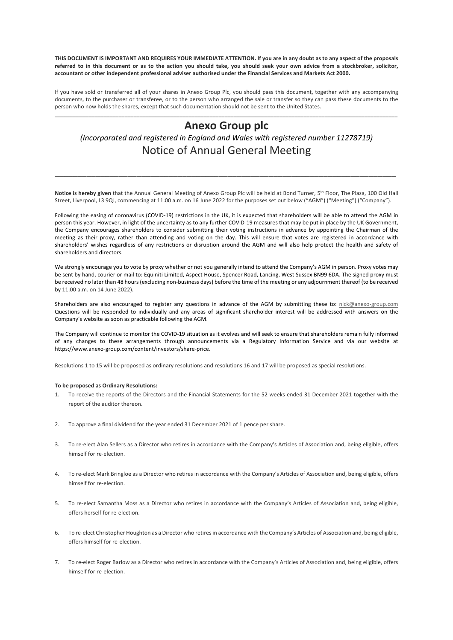**THIS DOCUMENT IS IMPORTANT AND REQUIRES YOUR IMMEDIATE ATTENTION. If you are in any doubt as to any aspect of the proposals referred to in this document or as to the action you should take, you should seek your own advice from a stockbroker, solicitor, accountant or other independent professional adviser authorised under the Financial Services and Markets Act 2000.**

If you have sold or transferred all of your shares in Anexo Group Plc, you should pass this document, together with any accompanying documents, to the purchaser or transferee, or to the person who arranged the sale or transfer so they can pass these documents to the person who now holds the shares, except that such documentation should not be sent to the United States.

# \_\_\_\_\_\_\_\_\_\_\_\_\_\_\_\_\_\_\_\_\_\_\_\_\_\_\_\_\_\_\_\_\_\_\_\_\_\_\_\_\_\_\_\_\_\_\_\_\_\_\_\_\_\_\_\_\_\_\_\_\_\_\_\_\_\_\_\_\_\_\_\_\_\_\_\_\_\_\_\_\_\_\_\_\_\_\_\_\_\_\_\_\_\_\_\_\_\_\_\_\_\_\_\_\_\_\_\_\_\_\_\_\_ **Anexo Group plc**

*(Incorporated and registered in England and Wales with registered number 11278719)* Notice of Annual General Meeting

**Notice is hereby given** that the Annual General Meeting of Anexo Group Plc will be held at Bond Turner, 5th Floor, The Plaza, 100 Old Hall Street, Liverpool, L3 9QJ, commencing at 11:00 a.m. on 16 June 2022 for the purposes set out below ("AGM") ("Meeting") ("Company").

\_\_\_\_\_\_\_\_\_\_\_\_\_\_\_\_\_\_\_\_\_\_\_\_\_\_\_\_\_\_\_\_\_\_\_\_\_\_\_\_\_\_\_\_\_\_\_\_\_\_\_\_\_\_\_\_\_\_\_\_\_\_\_\_\_\_\_\_\_\_\_\_\_\_\_

Following the easing of coronavirus (COVID-19) restrictions in the UK, it is expected that shareholders will be able to attend the AGM in person this year. However, in light of the uncertainty as to any further COVID-19 measures that may be put in place by the UK Government, the Company encourages shareholders to consider submitting their voting instructions in advance by appointing the Chairman of the meeting as their proxy, rather than attending and voting on the day. This will ensure that votes are registered in accordance with shareholders' wishes regardless of any restrictions or disruption around the AGM and will also help protect the health and safety of shareholders and directors.

We strongly encourage you to vote by proxy whether or not you generally intend to attend the Company's AGM in person. Proxy votes may be sent by hand, courier or mail to: Equiniti Limited, Aspect House, Spencer Road, Lancing, West Sussex BN99 6DA. The signed proxy must be received no later than 48 hours (excluding non-business days) before the time of the meeting or any adjournment thereof (to be received by 11:00 a.m. on 14 June 2022).

Shareholders are also encouraged to register any questions in advance of the AGM by submitting these to: nick@anexo-group.com Questions will be responded to individually and any areas of significant shareholder interest will be addressed with answers on the Company's website as soon as practicable following the AGM.

The Company will continue to monitor the COVID-19 situation as it evolves and will seek to ensure that shareholders remain fully informed of any changes to these arrangements through announcements via a Regulatory Information Service and via our website at https://www.anexo-group.com/content/investors/share-price.

Resolutions 1 to 15 will be proposed as ordinary resolutions and resolutions 16 and 17 will be proposed as special resolutions.

## **To be proposed as Ordinary Resolutions:**

- 1. To receive the reports of the Directors and the Financial Statements for the 52 weeks ended 31 December 2021 together with the report of the auditor thereon.
- 2. To approve a final dividend for the year ended 31 December 2021 of 1 pence per share.
- 3. To re-elect Alan Sellers as a Director who retires in accordance with the Company's Articles of Association and, being eligible, offers himself for re-election.
- 4. To re-elect Mark Bringloe as a Director who retires in accordance with the Company's Articles of Association and, being eligible, offers himself for re-election.
- 5. To re-elect Samantha Moss as a Director who retires in accordance with the Company's Articles of Association and, being eligible, offers herself for re-election.
- 6. To re-elect Christopher Houghton as a Director who retires in accordance with the Company's Articles of Association and, being eligible, offers himself for re-election.
- 7. To re-elect Roger Barlow as a Director who retires in accordance with the Company's Articles of Association and, being eligible, offers himself for re-election.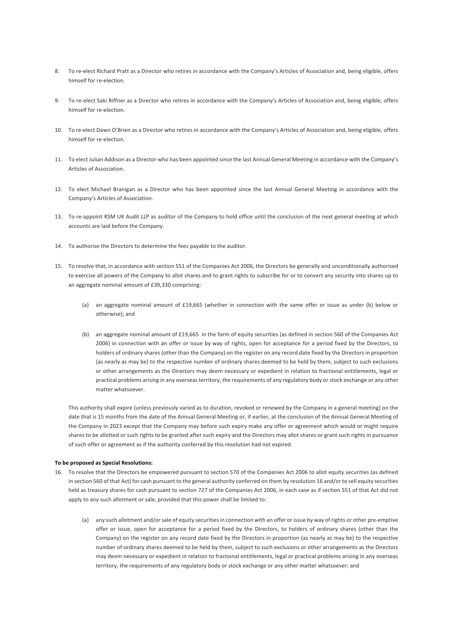- 8. To re-elect Richard Pratt as a Director who retires in accordance with the Company's Articles of Association and, being eligible, offers himself for re-election.
- 9. To re-elect Saki Riffner as a Director who retires in accordance with the Company's Articles of Association and, being eligible, offers himself for re-election.
- 10. To re-elect Dawn O'Brien as a Director who retires in accordance with the Company's Articles of Association and, being eligible, offers himself for re-election.
- 11. To elect Julian Addison as a Director who has been appointed since the last Annual General Meeting in accordance with the Company's Articles of Association.
- 12. To elect Michael Branigan as a Director who has been appointed since the last Annual General Meeting in accordance with the Company's Articles of Association.
- 13. To re-appoint RSM UK Audit LLP as auditor of the Company to hold office until the conclusion of the next general meeting at which accounts are laid before the Company.
- 14. To authorise the Directors to determine the fees payable to the auditor.
- 15. To resolve that, in accordance with section 551 of the Companies Act 2006, the Directors be generally and unconditionally authorised to exercise all powers of the Company to allot shares and to grant rights to subscribe for or to convert any security into shares up to an aggregate nominal amount of £39,330 comprising:
	- (a) an aggregate nominal amount of £19,665 (whether in connection with the same offer or issue as under (b) below or otherwise); and
	- (b) an aggregate nominal amount of £19,665 in the form of equity securities (as defined in section 560 of the Companies Act 2006) in connection with an offer or issue by way of rights, open for acceptance for a period fixed by the Directors, to holders of ordinary shares (other than the Company) on the register on any record date fixed by the Directors in proportion (as nearly as may be) to the respective number of ordinary shares deemed to be held by them, subject to such exclusions or other arrangements as the Directors may deem necessary or expedient in relation to fractional entitlements, legal or practical problems arising in any overseas territory, the requirements of any regulatory body or stock exchange or any other matter whatsoever.

This authority shall expire (unless previously varied as to duration, revoked or renewed by the Company in a general meeting) on the date that is 15 months from the date of the Annual General Meeting or, if earlier, at the conclusion of the Annual General Meeting of the Company in 2023 except that the Company may before such expiry make any offer or agreement which would or might require shares to be allotted or such rights to be granted after such expiry and the Directors may allot shares or grant such rights in pursuance of such offer or agreement as if the authority conferred by this resolution had not expired.

### **To be proposed as Special Resolutions:**

- 16. To resolve that the Directors be empowered pursuant to section 570 of the Companies Act 2006 to allot equity securities (as defined in section 560 of that Act) for cash pursuant to the general authority conferred on them by resolution 16 and/or to sell equity securities held as treasury shares for cash pursuant to section 727 of the Companies Act 2006, in each case as if section 551 of that Act did not apply to any such allotment or sale, provided that this power shall be limited to:
	- (a) any such allotment and/or sale of equity securities in connection with an offer or issue by way of rights or other pre-emptive offer or issue, open for acceptance for a period fixed by the Directors, to holders of ordinary shares (other than the Company) on the register on any record date fixed by the Directors in proportion (as nearly as may be) to the respective number of ordinary shares deemed to be held by them, subject to such exclusions or other arrangements as the Directors may deem necessary or expedient in relation to fractional entitlements, legal or practical problems arising in any overseas territory, the requirements of any regulatory body or stock exchange or any other matter whatsoever; and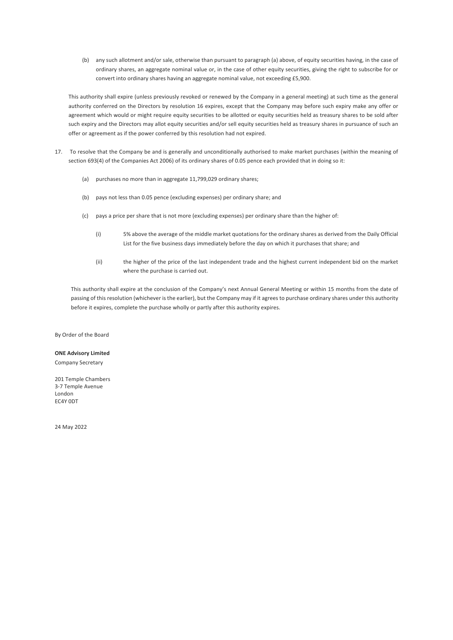(b) any such allotment and/or sale, otherwise than pursuant to paragraph (a) above, of equity securities having, in the case of ordinary shares, an aggregate nominal value or, in the case of other equity securities, giving the right to subscribe for or convert into ordinary shares having an aggregate nominal value, not exceeding £5,900.

This authority shall expire (unless previously revoked or renewed by the Company in a general meeting) at such time as the general authority conferred on the Directors by resolution 16 expires, except that the Company may before such expiry make any offer or agreement which would or might require equity securities to be allotted or equity securities held as treasury shares to be sold after such expiry and the Directors may allot equity securities and/or sell equity securities held as treasury shares in pursuance of such an offer or agreement as if the power conferred by this resolution had not expired.

- 17. To resolve that the Company be and is generally and unconditionally authorised to make market purchases (within the meaning of section 693(4) of the Companies Act 2006) of its ordinary shares of 0.05 pence each provided that in doing so it:
	- (a) purchases no more than in aggregate 11,799,029 ordinary shares;
	- (b) pays not less than 0.05 pence (excluding expenses) per ordinary share; and
	- (c) pays a price per share that is not more (excluding expenses) per ordinary share than the higher of:
		- (i) 5% above the average of the middle market quotations for the ordinary shares as derived from the Daily Official List for the five business days immediately before the day on which it purchases that share; and
		- (ii) the higher of the price of the last independent trade and the highest current independent bid on the market where the purchase is carried out.

This authority shall expire at the conclusion of the Company's next Annual General Meeting or within 15 months from the date of passing of this resolution (whichever is the earlier), but the Company may if it agrees to purchase ordinary shares under this authority before it expires, complete the purchase wholly or partly after this authority expires.

By Order of the Board

## **ONE Advisory Limited**

Company Secretary

201 Temple Chambers 3-7 Temple Avenue London EC4Y 0DT

24 May 2022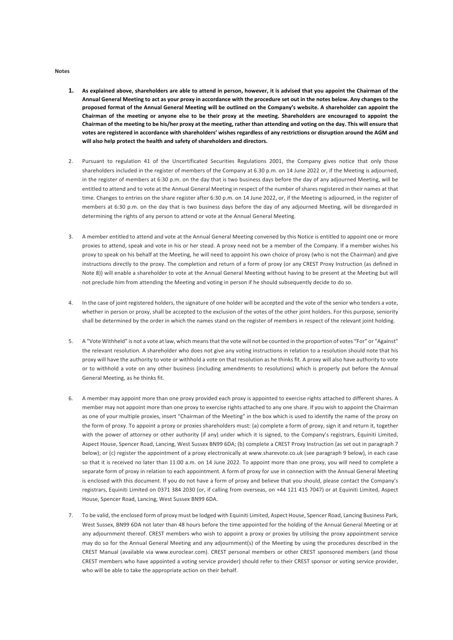#### **Notes**

- **1. As explained above, shareholders are able to attend in person, however, it is advised that you appoint the Chairman of the Annual General Meeting to act as your proxy in accordance with the procedure set out in the notes below. Any changes to the proposed format of the Annual General Meeting will be outlined on the Company's website. A shareholder can appoint the Chairman of the meeting or anyone else to be their proxy at the meeting. Shareholders are encouraged to appoint the Chairman of the meeting to be his/her proxy at the meeting, rather than attending and voting on the day. This will ensure that votes are registered in accordance with shareholders' wishes regardless of any restrictions or disruption around the AGM and will also help protect the health and safety of shareholders and directors.**
- 2. Pursuant to regulation 41 of the Uncertificated Securities Regulations 2001, the Company gives notice that only those shareholders included in the register of members of the Company at 6.30 p.m. on 14 June 2022 or, if the Meeting is adjourned, in the register of members at 6:30 p.m. on the day that is two business days before the day of any adjourned Meeting, will be entitled to attend and to vote at the Annual General Meeting in respect of the number of shares registered in their names at that time. Changes to entries on the share register after 6:30 p.m. on 14 June 2022, or, if the Meeting is adjourned, in the register of members at 6:30 p.m. on the day that is two business days before the day of any adjourned Meeting, will be disregarded in determining the rights of any person to attend or vote at the Annual General Meeting.
- 3. A member entitled to attend and vote at the Annual General Meeting convened by this Notice is entitled to appoint one or more proxies to attend, speak and vote in his or her stead. A proxy need not be a member of the Company. If a member wishes his proxy to speak on his behalf at the Meeting, he will need to appoint his own choice of proxy (who is not the Chairman) and give instructions directly to the proxy. The completion and return of a form of proxy (or any CREST Proxy Instruction (as defined in Note 8)) will enable a shareholder to vote at the Annual General Meeting without having to be present at the Meeting but will not preclude him from attending the Meeting and voting in person if he should subsequently decide to do so.
- 4. In the case of joint registered holders, the signature of one holder will be accepted and the vote of the senior who tenders a vote, whether in person or proxy, shall be accepted to the exclusion of the votes of the other joint holders. For this purpose, seniority shall be determined by the order in which the names stand on the register of members in respect of the relevant joint holding.
- 5. A "Vote Withheld" is not a vote at law, which means that the vote will not be counted in the proportion of votes "For" or "Against" the relevant resolution. A shareholder who does not give any voting instructions in relation to a resolution should note that his proxy will have the authority to vote or withhold a vote on that resolution as he thinks fit. A proxy will also have authority to vote or to withhold a vote on any other business (including amendments to resolutions) which is properly put before the Annual General Meeting, as he thinks fit.
- 6. A member may appoint more than one proxy provided each proxy is appointed to exercise rights attached to different shares. A member may not appoint more than one proxy to exercise rights attached to any one share. If you wish to appoint the Chairman as one of your multiple proxies, insert "Chairman of the Meeting" in the box which is used to identify the name of the proxy on the form of proxy. To appoint a proxy or proxies shareholders must: (a) complete a form of proxy, sign it and return it, together with the power of attorney or other authority (if any) under which it is signed, to the Company's registrars, Equiniti Limited, Aspect House, Spencer Road, Lancing, West Sussex BN99 6DA; (b) complete a CREST Proxy Instruction (as set out in paragraph 7 below); or (c) register the appointment of a proxy electronically at www.sharevote.co.uk (see paragraph 9 below), in each case so that it is received no later than 11:00 a.m. on 14 June 2022. To appoint more than one proxy, you will need to complete a separate form of proxy in relation to each appointment. A form of proxy for use in connection with the Annual General Meeting is enclosed with this document. If you do not have a form of proxy and believe that you should, please contact the Company's registrars, Equiniti Limited on 0371 384 2030 (or, if calling from overseas, on +44 121 415 7047) or at Equiniti Limited, Aspect House, Spencer Road, Lancing, West Sussex BN99 6DA.
- 7. To be valid, the enclosed form of proxy must be lodged with Equiniti Limited, Aspect House, Spencer Road, Lancing Business Park, West Sussex, BN99 6DA not later than 48 hours before the time appointed for the holding of the Annual General Meeting or at any adjournment thereof. CREST members who wish to appoint a proxy or proxies by utilising the proxy appointment service may do so for the Annual General Meeting and any adjournment(s) of the Meeting by using the procedures described in the CREST Manual (available via www.euroclear.com). CREST personal members or other CREST sponsored members (and those CREST members who have appointed a voting service provider) should refer to their CREST sponsor or voting service provider, who will be able to take the appropriate action on their behalf.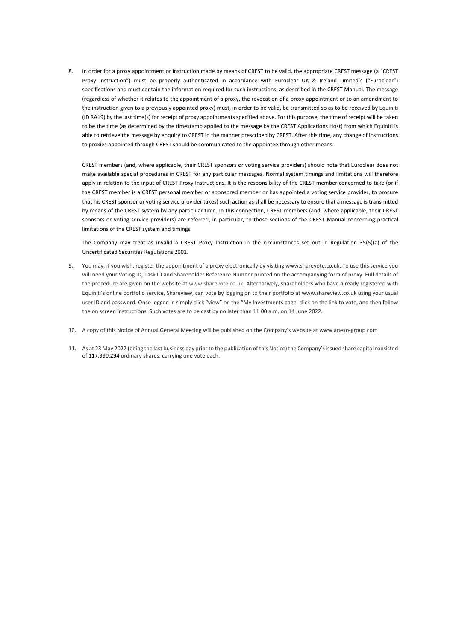8. In order for a proxy appointment or instruction made by means of CREST to be valid, the appropriate CREST message (a "CREST Proxy Instruction") must be properly authenticated in accordance with Euroclear UK & Ireland Limited's ("Euroclear") specifications and must contain the information required for such instructions, as described in the CREST Manual. The message (regardless of whether it relates to the appointment of a proxy, the revocation of a proxy appointment or to an amendment to the instruction given to a previously appointed proxy) must, in order to be valid, be transmitted so as to be received by Equiniti (ID RA19) by the last time(s) for receipt of proxy appointments specified above. For this purpose, the time of receipt will be taken to be the time (as determined by the timestamp applied to the message by the CREST Applications Host) from which Equiniti is able to retrieve the message by enquiry to CREST in the manner prescribed by CREST. After this time, any change of instructions to proxies appointed through CREST should be communicated to the appointee through other means.

CREST members (and, where applicable, their CREST sponsors or voting service providers) should note that Euroclear does not make available special procedures in CREST for any particular messages. Normal system timings and limitations will therefore apply in relation to the input of CREST Proxy Instructions. It is the responsibility of the CREST member concerned to take (or if the CREST member is a CREST personal member or sponsored member or has appointed a voting service provider, to procure that his CREST sponsor or voting service provider takes) such action as shall be necessary to ensure that a message is transmitted by means of the CREST system by any particular time. In this connection, CREST members (and, where applicable, their CREST sponsors or voting service providers) are referred, in particular, to those sections of the CREST Manual concerning practical limitations of the CREST system and timings.

The Company may treat as invalid a CREST Proxy Instruction in the circumstances set out in Regulation 35(5)(a) of the Uncertificated Securities Regulations 2001.

- 9. You may, if you wish, register the appointment of a proxy electronically by visiting www.sharevote.co.uk. To use this service you will need your Voting ID, Task ID and Shareholder Reference Number printed on the accompanying form of proxy. Full details of the procedure are given on the website at www.sharevote.co.uk. Alternatively, shareholders who have already registered with Equiniti's online portfolio service, Shareview, can vote by logging on to their portfolio at www.shareview.co.uk using your usual user ID and password. Once logged in simply click "view" on the "My Investments page, click on the link to vote, and then follow the on screen instructions. Such votes are to be cast by no later than 11:00 a.m. on 14 June 2022.
- 10. A copy of this Notice of Annual General Meeting will be published on the Company's website at www.anexo-group.com
- 11. As at 23 May 2022 (being the last business day prior to the publication of this Notice) the Company's issued share capital consisted of 117,990,294 ordinary shares, carrying one vote each.